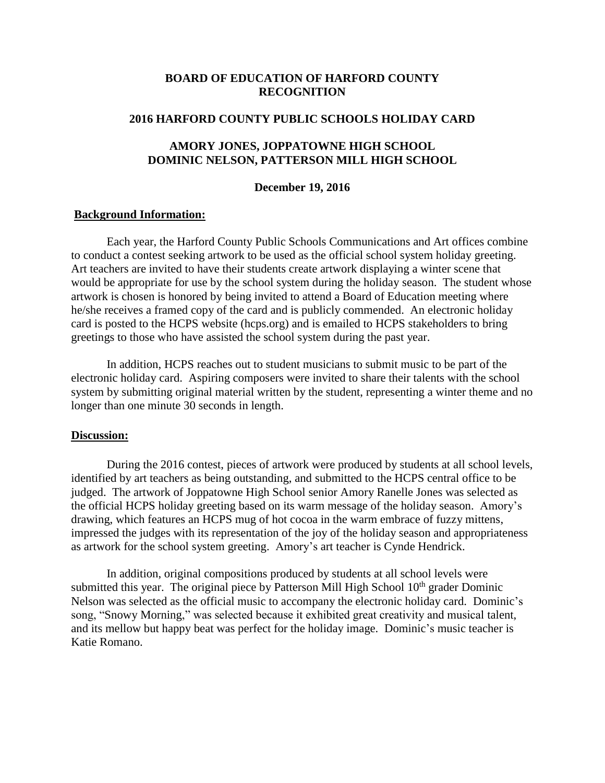### **BOARD OF EDUCATION OF HARFORD COUNTY RECOGNITION**

#### **2016 HARFORD COUNTY PUBLIC SCHOOLS HOLIDAY CARD**

### **AMORY JONES, JOPPATOWNE HIGH SCHOOL DOMINIC NELSON, PATTERSON MILL HIGH SCHOOL**

#### **December 19, 2016**

#### **Background Information:**

Each year, the Harford County Public Schools Communications and Art offices combine to conduct a contest seeking artwork to be used as the official school system holiday greeting. Art teachers are invited to have their students create artwork displaying a winter scene that would be appropriate for use by the school system during the holiday season. The student whose artwork is chosen is honored by being invited to attend a Board of Education meeting where he/she receives a framed copy of the card and is publicly commended. An electronic holiday card is posted to the HCPS website (hcps.org) and is emailed to HCPS stakeholders to bring greetings to those who have assisted the school system during the past year.

In addition, HCPS reaches out to student musicians to submit music to be part of the electronic holiday card. Aspiring composers were invited to share their talents with the school system by submitting original material written by the student, representing a winter theme and no longer than one minute 30 seconds in length.

### **Discussion:**

During the 2016 contest, pieces of artwork were produced by students at all school levels, identified by art teachers as being outstanding, and submitted to the HCPS central office to be judged. The artwork of Joppatowne High School senior Amory Ranelle Jones was selected as the official HCPS holiday greeting based on its warm message of the holiday season. Amory's drawing, which features an HCPS mug of hot cocoa in the warm embrace of fuzzy mittens, impressed the judges with its representation of the joy of the holiday season and appropriateness as artwork for the school system greeting. Amory's art teacher is Cynde Hendrick.

In addition, original compositions produced by students at all school levels were submitted this year. The original piece by Patterson Mill High School  $10<sup>th</sup>$  grader Dominic Nelson was selected as the official music to accompany the electronic holiday card. Dominic's song, "Snowy Morning," was selected because it exhibited great creativity and musical talent, and its mellow but happy beat was perfect for the holiday image. Dominic's music teacher is Katie Romano.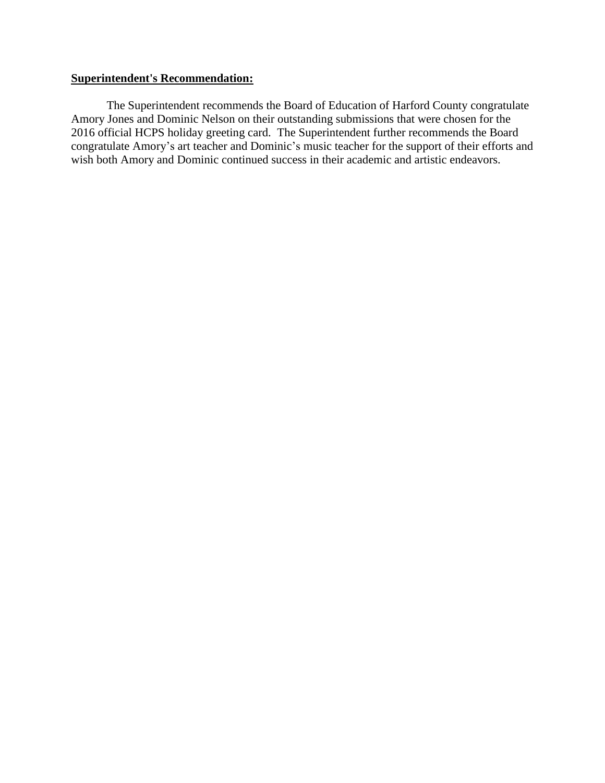### **Superintendent's Recommendation:**

The Superintendent recommends the Board of Education of Harford County congratulate Amory Jones and Dominic Nelson on their outstanding submissions that were chosen for the 2016 official HCPS holiday greeting card. The Superintendent further recommends the Board congratulate Amory's art teacher and Dominic's music teacher for the support of their efforts and wish both Amory and Dominic continued success in their academic and artistic endeavors.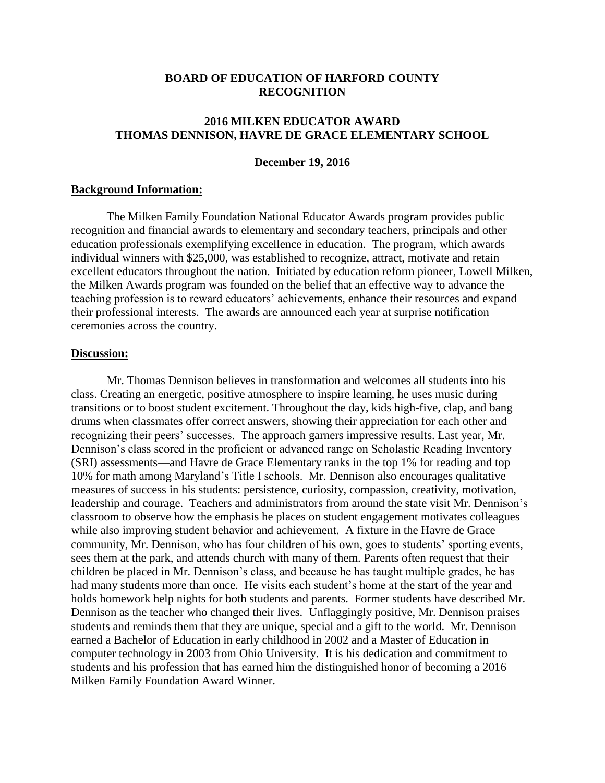### **BOARD OF EDUCATION OF HARFORD COUNTY RECOGNITION**

## **2016 MILKEN EDUCATOR AWARD THOMAS DENNISON, HAVRE DE GRACE ELEMENTARY SCHOOL**

#### **December 19, 2016**

#### **Background Information:**

The Milken Family Foundation National Educator Awards program provides public recognition and financial awards to elementary and secondary teachers, principals and other education professionals exemplifying excellence in education. The program, which awards individual winners with \$25,000, was established to recognize, attract, motivate and retain excellent educators throughout the nation. Initiated by education reform pioneer, Lowell Milken, the Milken Awards program was founded on the belief that an effective way to advance the teaching profession is to reward educators' achievements, enhance their resources and expand their professional interests. The awards are announced each year at surprise notification ceremonies across the country.

### **Discussion:**

Mr. Thomas Dennison believes in transformation and welcomes all students into his class. Creating an energetic, positive atmosphere to inspire learning, he uses music during transitions or to boost student excitement. Throughout the day, kids high-five, clap, and bang drums when classmates offer correct answers, showing their appreciation for each other and recognizing their peers' successes. The approach garners impressive results. Last year, Mr. Dennison's class scored in the proficient or advanced range on Scholastic Reading Inventory (SRI) assessments—and Havre de Grace Elementary ranks in the top 1% for reading and top 10% for math among Maryland's Title I schools. Mr. Dennison also encourages qualitative measures of success in his students: persistence, curiosity, compassion, creativity, motivation, leadership and courage. Teachers and administrators from around the state visit Mr. Dennison's classroom to observe how the emphasis he places on student engagement motivates colleagues while also improving student behavior and achievement. A fixture in the Havre de Grace community, Mr. Dennison, who has four children of his own, goes to students' sporting events, sees them at the park, and attends church with many of them. Parents often request that their children be placed in Mr. Dennison's class, and because he has taught multiple grades, he has had many students more than once. He visits each student's home at the start of the year and holds homework help nights for both students and parents. Former students have described Mr. Dennison as the teacher who changed their lives. Unflaggingly positive, Mr. Dennison praises students and reminds them that they are unique, special and a gift to the world. Mr. Dennison earned a Bachelor of Education in early childhood in 2002 and a Master of Education in computer technology in 2003 from Ohio University. It is his dedication and commitment to students and his profession that has earned him the distinguished honor of becoming a 2016 Milken Family Foundation Award Winner.